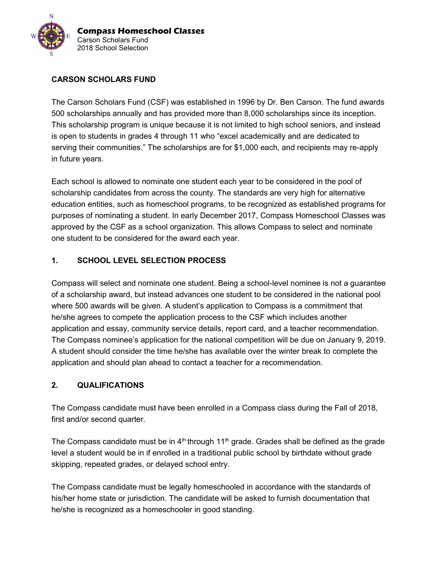

## CARSON SCHOLARS FUND

The Carson Scholars Fund (CSF) was established in 1996 by Dr. Ben Carson. The fund awards 500 scholarships annually and has provided more than 8,000 scholarships since its inception. This scholarship program is unique because it is not limited to high school seniors, and instead is open to students in grades 4 through 11 who "excel academically and are dedicated to serving their communities." The scholarships are for \$1,000 each, and recipients may re-apply in future years.

Each school is allowed to nominate one student each year to be considered in the pool of scholarship candidates from across the county. The standards are very high for alternative education entities, such as homeschool programs, to be recognized as established programs for purposes of nominating a student. In early December 2017, Compass Homeschool Classes was approved by the CSF as a school organization. This allows Compass to select and nominate one student to be considered for the award each year.

#### 1. SCHOOL LEVEL SELECTION PROCESS

Compass will select and nominate one student. Being a school-level nominee is not a guarantee of a scholarship award, but instead advances one student to be considered in the national pool where 500 awards will be given. A student's application to Compass is a commitment that he/she agrees to compete the application process to the CSF which includes another application and essay, community service details, report card, and a teacher recommendation. The Compass nominee's application for the national competition will be due on January 9, 2019. A student should consider the time he/she has available over the winter break to complete the application and should plan ahead to contact a teacher for a recommendation.

#### 2. QUALIFICATIONS

The Compass candidate must have been enrolled in a Compass class during the Fall of 2018, first and/or second quarter.

The Compass candidate must be in  $4<sup>th</sup>$  through 11<sup>th</sup> grade. Grades shall be defined as the grade level a student would be in if enrolled in a traditional public school by birthdate without grade skipping, repeated grades, or delayed school entry.

The Compass candidate must be legally homeschooled in accordance with the standards of his/her home state or jurisdiction. The candidate will be asked to furnish documentation that he/she is recognized as a homeschooler in good standing.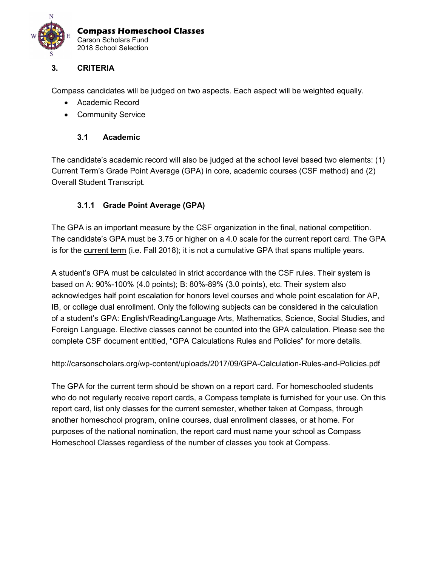

#### 3. CRITERIA

Compass candidates will be judged on two aspects. Each aspect will be weighted equally.

- Academic Record
- **•** Community Service

#### 3.1 Academic

The candidate's academic record will also be judged at the school level based two elements: (1) Current Term's Grade Point Average (GPA) in core, academic courses (CSF method) and (2) Overall Student Transcript.

#### 3.1.1 Grade Point Average (GPA)

The GPA is an important measure by the CSF organization in the final, national competition. The candidate's GPA must be 3.75 or higher on a 4.0 scale for the current report card. The GPA is for the current term (i.e. Fall 2018); it is not a cumulative GPA that spans multiple years.

A student's GPA must be calculated in strict accordance with the CSF rules. Their system is based on A: 90%-100% (4.0 points); B: 80%-89% (3.0 points), etc. Their system also acknowledges half point escalation for honors level courses and whole point escalation for AP, IB, or college dual enrollment. Only the following subjects can be considered in the calculation of a student's GPA: English/Reading/Language Arts, Mathematics, Science, Social Studies, and Foreign Language. Elective classes cannot be counted into the GPA calculation. Please see the complete CSF document entitled, "GPA Calculations Rules and Policies" for more details.

http://carsonscholars.org/wp-content/uploads/2017/09/GPA-Calculation-Rules-and-Policies.pdf

The GPA for the current term should be shown on a report card. For homeschooled students who do not regularly receive report cards, a Compass template is furnished for your use. On this report card, list only classes for the current semester, whether taken at Compass, through another homeschool program, online courses, dual enrollment classes, or at home. For purposes of the national nomination, the report card must name your school as Compass Homeschool Classes regardless of the number of classes you took at Compass.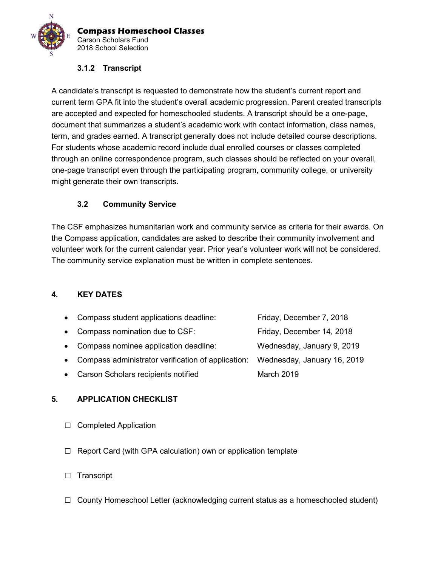

#### 3.1.2 Transcript

A candidate's transcript is requested to demonstrate how the student's current report and current term GPA fit into the student's overall academic progression. Parent created transcripts are accepted and expected for homeschooled students. A transcript should be a one-page, document that summarizes a student's academic work with contact information, class names, term, and grades earned. A transcript generally does not include detailed course descriptions. For students whose academic record include dual enrolled courses or classes completed through an online correspondence program, such classes should be reflected on your overall, one-page transcript even through the participating program, community college, or university might generate their own transcripts.

## 3.2 Community Service

The CSF emphasizes humanitarian work and community service as criteria for their awards. On the Compass application, candidates are asked to describe their community involvement and volunteer work for the current calendar year. Prior year's volunteer work will not be considered. The community service explanation must be written in complete sentences.

#### 4. KEY DATES

| • Compass student applications deadline:             | Friday, December 7, 2018    |
|------------------------------------------------------|-----------------------------|
| • Compass nomination due to CSF:                     | Friday, December 14, 2018   |
| • Compass nominee application deadline:              | Wednesday, January 9, 2019  |
| • Compass administrator verification of application: | Wednesday, January 16, 2019 |
| • Carson Scholars recipients notified                | March 2019                  |
|                                                      |                             |

#### 5. APPLICATION CHECKLIST

- □ Completed Application
- $\Box$  Report Card (with GPA calculation) own or application template
- □ Transcript
- $\Box$  County Homeschool Letter (acknowledging current status as a homeschooled student)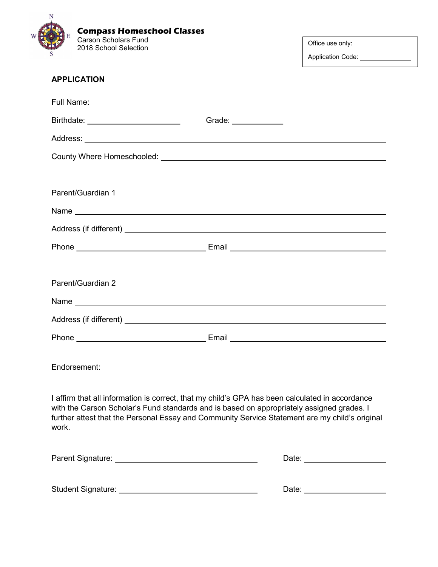

Office use only:

Application Code: \_\_\_\_\_\_\_\_\_

| <b>APPLICATION</b>                                                                                                                                                                                                                                                                                      |                                 |  |  |  |
|---------------------------------------------------------------------------------------------------------------------------------------------------------------------------------------------------------------------------------------------------------------------------------------------------------|---------------------------------|--|--|--|
|                                                                                                                                                                                                                                                                                                         |                                 |  |  |  |
| Birthdate: __________________________                                                                                                                                                                                                                                                                   | Grade: _____________            |  |  |  |
|                                                                                                                                                                                                                                                                                                         |                                 |  |  |  |
|                                                                                                                                                                                                                                                                                                         |                                 |  |  |  |
|                                                                                                                                                                                                                                                                                                         |                                 |  |  |  |
| Parent/Guardian 1                                                                                                                                                                                                                                                                                       |                                 |  |  |  |
|                                                                                                                                                                                                                                                                                                         |                                 |  |  |  |
|                                                                                                                                                                                                                                                                                                         |                                 |  |  |  |
|                                                                                                                                                                                                                                                                                                         |                                 |  |  |  |
|                                                                                                                                                                                                                                                                                                         |                                 |  |  |  |
| Parent/Guardian 2                                                                                                                                                                                                                                                                                       |                                 |  |  |  |
|                                                                                                                                                                                                                                                                                                         |                                 |  |  |  |
|                                                                                                                                                                                                                                                                                                         |                                 |  |  |  |
|                                                                                                                                                                                                                                                                                                         |                                 |  |  |  |
| Endorsement:                                                                                                                                                                                                                                                                                            |                                 |  |  |  |
| I affirm that all information is correct, that my child's GPA has been calculated in accordance<br>with the Carson Scholar's Fund standards and is based on appropriately assigned grades. I<br>further attest that the Personal Essay and Community Service Statement are my child's original<br>work. |                                 |  |  |  |
|                                                                                                                                                                                                                                                                                                         | Date: _________________________ |  |  |  |
| Student Signature: ________                                                                                                                                                                                                                                                                             | Date: $\sqrt{ }$                |  |  |  |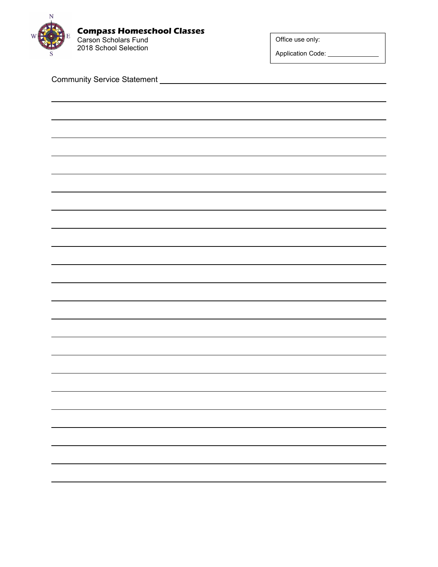

Office use only:

Application Code: \_\_\_\_\_\_\_\_\_\_\_\_\_\_\_

Community Service Statement